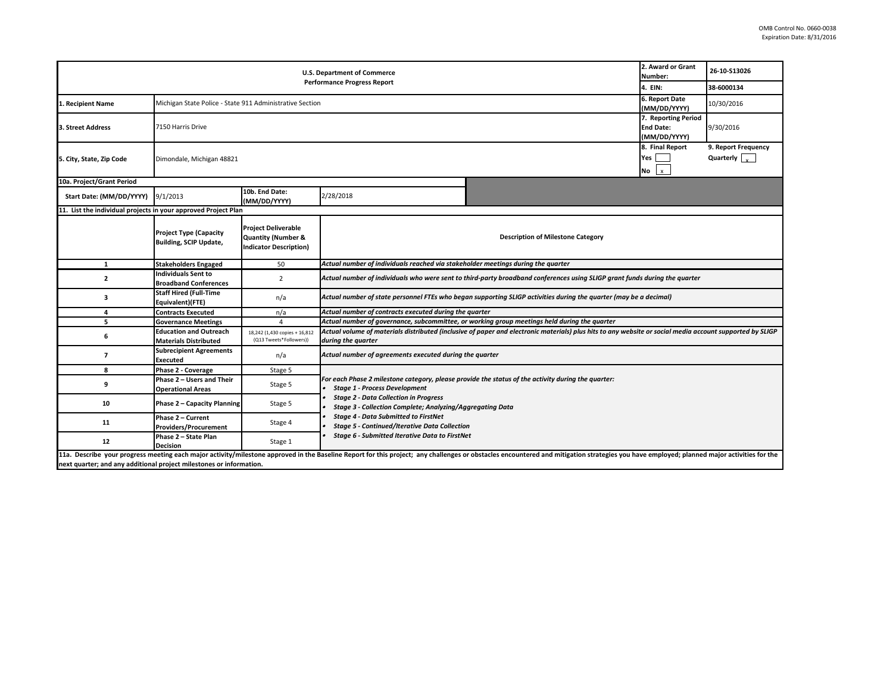| 2. Award or Grant<br><b>U.S. Department of Commerce</b><br>Number:<br><b>Performance Progress Report</b> |                                                                |                                                                                              |                                                                                                                                                                                                                                                                    |                                                                                                                                                          |                                                         | 26-10-S13026                                           |  |  |
|----------------------------------------------------------------------------------------------------------|----------------------------------------------------------------|----------------------------------------------------------------------------------------------|--------------------------------------------------------------------------------------------------------------------------------------------------------------------------------------------------------------------------------------------------------------------|----------------------------------------------------------------------------------------------------------------------------------------------------------|---------------------------------------------------------|--------------------------------------------------------|--|--|
|                                                                                                          |                                                                |                                                                                              |                                                                                                                                                                                                                                                                    |                                                                                                                                                          | 4. EIN:                                                 | 38-6000134                                             |  |  |
| 1. Recipient Name                                                                                        | Michigan State Police - State 911 Administrative Section       |                                                                                              |                                                                                                                                                                                                                                                                    |                                                                                                                                                          | 6. Report Date<br>(MM/DD/YYYY)                          | 10/30/2016                                             |  |  |
| 3. Street Address                                                                                        | 7150 Harris Drive                                              |                                                                                              |                                                                                                                                                                                                                                                                    |                                                                                                                                                          | 7. Reporting Period<br><b>End Date:</b><br>(MM/DD/YYYY) | 9/30/2016                                              |  |  |
| 5. City, State, Zip Code                                                                                 | Dimondale, Michigan 48821                                      |                                                                                              |                                                                                                                                                                                                                                                                    |                                                                                                                                                          | 8. Final Report<br>Yes  <br>$\mathbf{x}$<br>No          | 9. Report Frequency<br>Quarterly $\vert \cdot \rangle$ |  |  |
| 10a. Project/Grant Period                                                                                |                                                                |                                                                                              |                                                                                                                                                                                                                                                                    |                                                                                                                                                          |                                                         |                                                        |  |  |
| Start Date: (MM/DD/YYYY)                                                                                 | 9/1/2013                                                       | 10b. End Date:<br>(MM/DD/YYYY)                                                               | 2/28/2018                                                                                                                                                                                                                                                          |                                                                                                                                                          |                                                         |                                                        |  |  |
| 11. List the individual projects in your approved Project Plan                                           |                                                                |                                                                                              |                                                                                                                                                                                                                                                                    |                                                                                                                                                          |                                                         |                                                        |  |  |
|                                                                                                          | <b>Project Type (Capacity</b><br><b>Building, SCIP Update,</b> | <b>Project Deliverable</b><br><b>Quantity (Number &amp;</b><br><b>Indicator Description)</b> | <b>Description of Milestone Category</b>                                                                                                                                                                                                                           |                                                                                                                                                          |                                                         |                                                        |  |  |
| $\mathbf{1}$                                                                                             | <b>Stakeholders Engaged</b>                                    | 50                                                                                           | Actual number of individuals reached via stakeholder meetings during the quarter                                                                                                                                                                                   |                                                                                                                                                          |                                                         |                                                        |  |  |
| $\mathbf{2}$                                                                                             | <b>Individuals Sent to</b><br><b>Broadband Conferences</b>     | $\overline{2}$                                                                               | Actual number of individuals who were sent to third-party broadband conferences using SLIGP grant funds during the quarter                                                                                                                                         |                                                                                                                                                          |                                                         |                                                        |  |  |
| з                                                                                                        | <b>Staff Hired (Full-Time</b><br>Equivalent)(FTE)              | n/a                                                                                          | Actual number of state personnel FTEs who began supporting SLIGP activities during the quarter (may be a decimal)                                                                                                                                                  |                                                                                                                                                          |                                                         |                                                        |  |  |
| 4                                                                                                        | <b>Contracts Executed</b>                                      | n/a                                                                                          | Actual number of contracts executed during the quarter                                                                                                                                                                                                             |                                                                                                                                                          |                                                         |                                                        |  |  |
| 5                                                                                                        | <b>Governance Meetings</b>                                     | $\overline{4}$                                                                               | Actual number of governance, subcommittee, or working group meetings held during the quarter                                                                                                                                                                       |                                                                                                                                                          |                                                         |                                                        |  |  |
| 6                                                                                                        | <b>Education and Outreach</b><br><b>Materials Distributed</b>  | 18,242 (1,430 copies + 16,812<br>(Q13 Tweets*Followers))                                     | during the quarter                                                                                                                                                                                                                                                 | Actual volume of materials distributed (inclusive of paper and electronic materials) plus hits to any website or social media account supported by SLIGP |                                                         |                                                        |  |  |
| $\overline{7}$                                                                                           | <b>Subrecipient Agreements</b><br><b>Executed</b>              | n/a                                                                                          | Actual number of agreements executed during the quarter                                                                                                                                                                                                            |                                                                                                                                                          |                                                         |                                                        |  |  |
| 8                                                                                                        | Phase 2 - Coverage                                             | Stage 5                                                                                      |                                                                                                                                                                                                                                                                    |                                                                                                                                                          |                                                         |                                                        |  |  |
| 9                                                                                                        | Phase 2 - Users and Their<br><b>Operational Areas</b>          | Stage 5                                                                                      | For each Phase 2 milestone category, please provide the status of the activity during the quarter:<br><b>Stage 1 - Process Development</b>                                                                                                                         |                                                                                                                                                          |                                                         |                                                        |  |  |
| 10                                                                                                       | <b>Phase 2 - Capacity Planning</b>                             | Stage 5                                                                                      | <b>Stage 2 - Data Collection in Progress</b><br>Stage 3 - Collection Complete; Analyzing/Aggregating Data<br><b>Stage 4 - Data Submitted to FirstNet</b><br><b>Stage 5 - Continued/Iterative Data Collection</b><br>Stage 6 - Submitted Iterative Data to FirstNet |                                                                                                                                                          |                                                         |                                                        |  |  |
| 11                                                                                                       | Phase 2 - Current<br>Providers/Procurement                     | Stage 4                                                                                      |                                                                                                                                                                                                                                                                    |                                                                                                                                                          |                                                         |                                                        |  |  |
| 12                                                                                                       | Phase 2 - State Plan<br><b>Decision</b>                        | Stage 1                                                                                      |                                                                                                                                                                                                                                                                    |                                                                                                                                                          |                                                         |                                                        |  |  |
| next quarter; and any additional project milestones or information.                                      |                                                                |                                                                                              | 11a. Describe your progress meeting each major activity/milestone approved in the Baseline Report for this project; any challenges or obstacles encountered and mitigation strategies you have employed; planned major activit                                     |                                                                                                                                                          |                                                         |                                                        |  |  |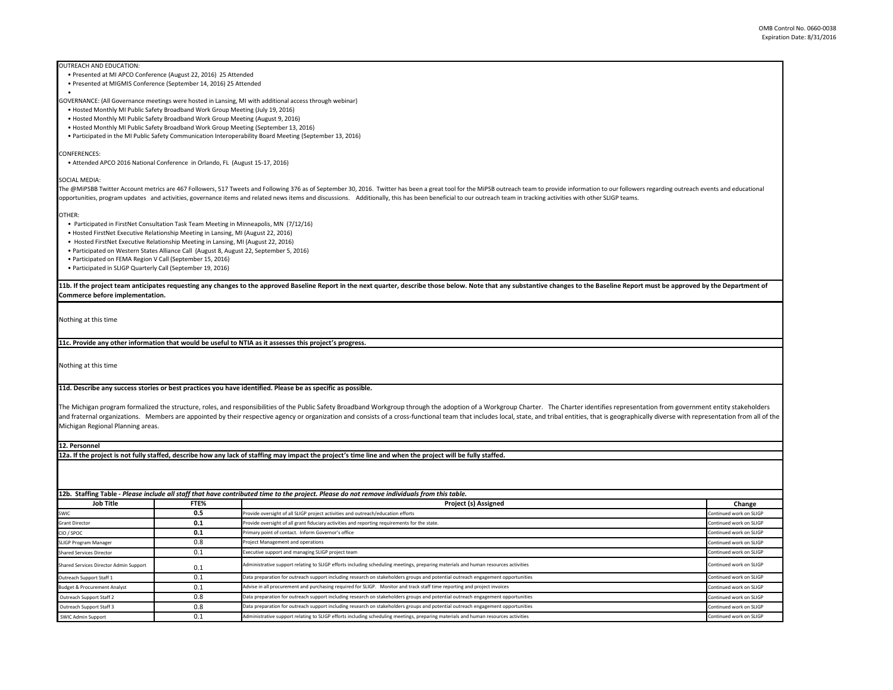OUTREACH AND EDUCATION:

- Presented at MI APCO Conference (August 22, 2016) 25 Attended
- Presented at MIGMIS Conference (September 14, 2016) 25 Attended

•

GOVERNANCE: (All Governance meetings were hosted in Lansing, MI with additional access through webinar)

• Hosted Monthly MI Public Safety Broadband Work Group Meeting (July 19, 2016)

• Hosted Monthly MI Public Safety Broadband Work Group Meeting (August 9, 2016)

• Hosted Monthly MI Public Safety Broadband Work Group Meeting (September 13, 2016)

• Participated in the MI Public Safety Communication Interoperability Board Meeting (September 13, 2016)

CONFERENCES:

• Attended APCO 2016 National Conference in Orlando, FL (August 15-17, 2016)

SOCIAL MEDIA:

The @MiPSBB Twitter Account metrics are 467 Followers, 517 Tweets and Following 376 as of September 30, 2016. Twitter has been a great tool for the MiPSB outreach team to provide information to our followers regarding outr opportunities, program updates and activities, governance items and related news items and discussions. Additionally, this has been beneficial to our outreach team in tracking activities with other SLIGP teams.

OTHER:

• Participated in FirstNet Consultation Task Team Meeting in Minneapolis, MN (7/12/16)

• Hosted FirstNet Executive Relationship Meeting in Lansing, MI (August 22, 2016)

• Hosted FirstNet Executive Relationship Meeting in Lansing, MI (August 22, 2016)

• Participated on Western States Alliance Call (August 8, August 22, September 5, 2016)

• Participated on FEMA Region V Call (September 15, 2016)

• Participated in SLIGP Quarterly Call (September 19, 2016)

11b. If the project team anticipates requesting any changes to the approved Baseline Report in the next quarter, describe those below. Note that any substantive changes to the Baseline Report must be approved by the Depart **Commerce before implementation.** 

Nothing at this time

**11c. Provide any other information that would be useful to NTIA as it assesses this project's progress.** 

Nothing at this time

**11d. Describe any success stories or best practices you have identified. Please be as specific as possible.**

The Michigan program formalized the structure, roles, and responsibilities of the Public Safety Broadband Workgroup through the adoption of a Workgroup Charter. The Charter identifies representation from government entity and fraternal organizations. Members are appointed by their respective agency or organization and consists of a cross-functional team that includes local, state, and tribal entities, that is geographically diverse with rep Michigan Regional Planning areas.

**12. Personnel** 

**12a. If the project is not fully staffed, describe how any lack of staffing may impact the project's time line and when the project will be fully staffed.**

**12b. Staffing Table -** *Please include all staff that have contributed time to the project. Please do not remove individuals from this table.*

| <b>Job Title</b>                        | FTE% | Project (s) Assigned                                                                                                               | Change                  |
|-----------------------------------------|------|------------------------------------------------------------------------------------------------------------------------------------|-------------------------|
| SWIC                                    | 0.5  | Provide oversight of all SLIGP project activities and outreach/education efforts                                                   | Continued work on SLIGP |
| <b>Grant Director</b>                   | 0.1  | Provide oversight of all grant fiduciary activities and reporting requirements for the state.                                      | Continued work on SLIGP |
| CIO / SPOC                              | 0.1  | Primary point of contact. Inform Governor's office                                                                                 | Continued work on SLIGP |
| SLIGP Program Manager                   | 0.8  | Project Management and operations                                                                                                  | Continued work on SLIGP |
| <b>Shared Services Director</b>         | 0.1  | Executive support and managing SLIGP project team                                                                                  | Continued work on SLIGP |
| Shared Services Director Admin Support  | 0.1  | Administrative support relating to SLIGP efforts including scheduling meetings, preparing materials and human resources activities | Continued work on SLIGP |
| Outreach Support Staff 1                | 0.1  | Data preparation for outreach support including research on stakeholders groups and potential outreach engagement opportunities    | Continued work on SLIGP |
| <b>Budget &amp; Procurement Analyst</b> | 0.1  | Advise in all procurement and purchasing required for SLIGP. Monitor and track staff time reporting and project invoices           | Continued work on SLIGP |
| Outreach Support Staff 2                | 0.8  | Data preparation for outreach support including research on stakeholders groups and potential outreach engagement opportunities    | Continued work on SLIGP |
| Outreach Support Staff 3                | 0.8  | Data preparation for outreach support including research on stakeholders groups and potential outreach engagement opportunities    | Continued work on SLIGP |
| SWIC Admin Support                      | 0.1  | Administrative support relating to SLIGP efforts including scheduling meetings, preparing materials and human resources activities | Continued work on SLIGP |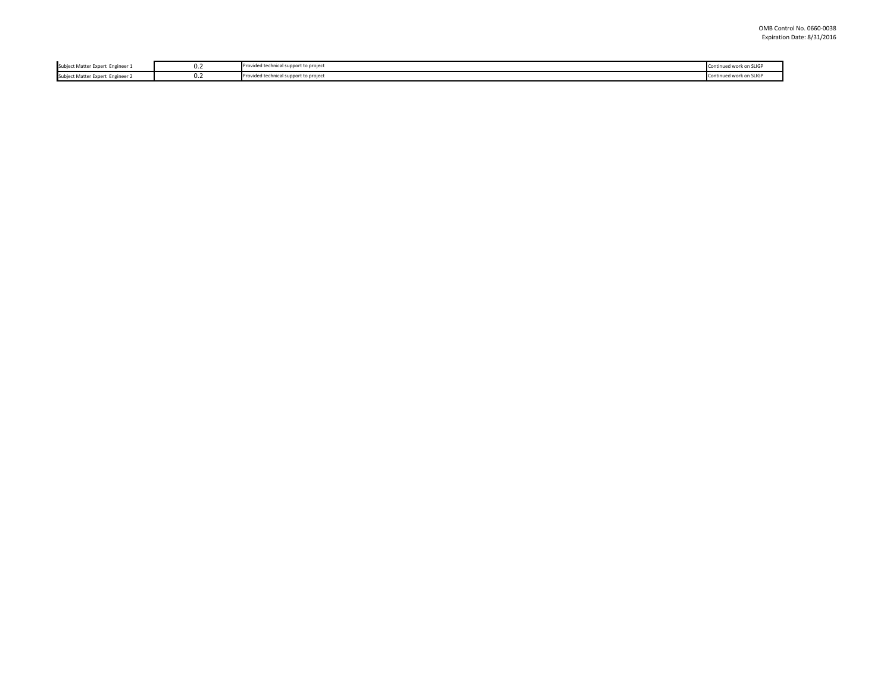| <b>Subject Matter Expert</b><br>Engineer | . . <u>.</u> | Provided technical support to project | d work on S |
|------------------------------------------|--------------|---------------------------------------|-------------|
| <b>Subject Matter Expert</b><br>Engineer | . . <u>.</u> | Provided technical support to project | $\cdots$    |
|                                          |              |                                       |             |